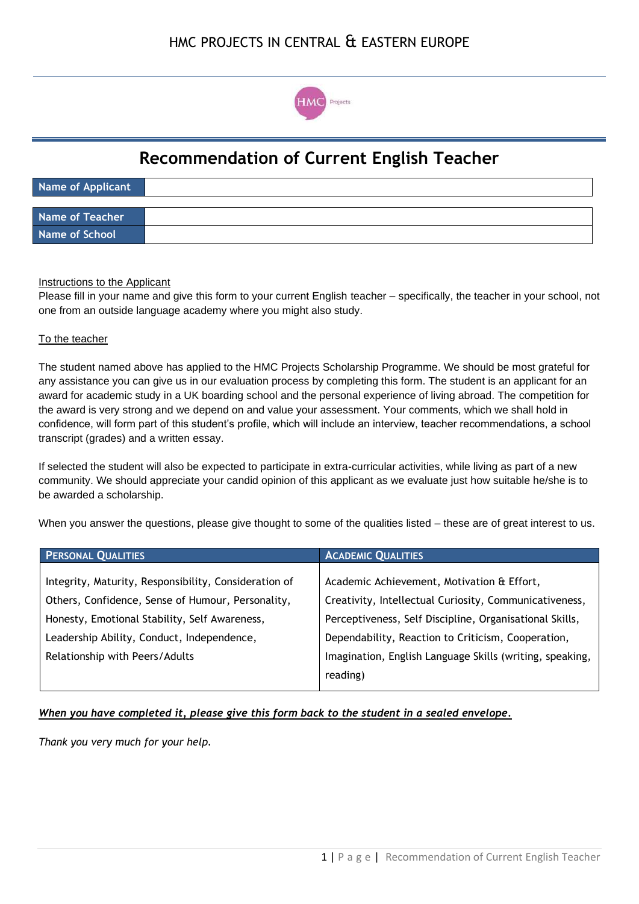

# **Recommendation of Current English Teacher**

| Name of Applicant |  |
|-------------------|--|
|                   |  |
| Name of Teacher   |  |
| Name of School    |  |

### Instructions to the Applicant

Please fill in your name and give this form to your current English teacher – specifically, the teacher in your school, not one from an outside language academy where you might also study.

#### To the teacher

The student named above has applied to the HMC Projects Scholarship Programme. We should be most grateful for any assistance you can give us in our evaluation process by completing this form. The student is an applicant for an award for academic study in a UK boarding school and the personal experience of living abroad. The competition for the award is very strong and we depend on and value your assessment. Your comments, which we shall hold in confidence, will form part of this student's profile, which will include an interview, teacher recommendations, a school transcript (grades) and a written essay.

If selected the student will also be expected to participate in extra-curricular activities, while living as part of a new community. We should appreciate your candid opinion of this applicant as we evaluate just how suitable he/she is to be awarded a scholarship.

When you answer the questions, please give thought to some of the qualities listed – these are of great interest to us.

| <b>ACADEMIC QUALITIES</b>                                |
|----------------------------------------------------------|
|                                                          |
| Academic Achievement, Motivation & Effort,               |
| Creativity, Intellectual Curiosity, Communicativeness,   |
| Perceptiveness, Self Discipline, Organisational Skills,  |
| Dependability, Reaction to Criticism, Cooperation,       |
| Imagination, English Language Skills (writing, speaking, |
| reading)                                                 |
|                                                          |

## *When you have completed it, please give this form back to the student in a sealed envelope.*

*Thank you very much for your help.*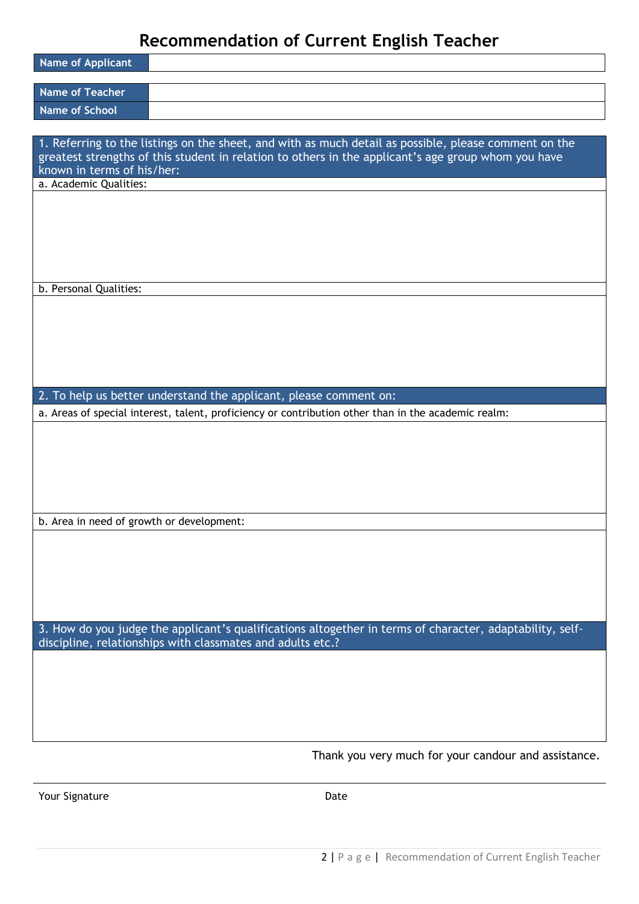# **Recommendation of Current English Teacher**

| <b>Name of Applicant</b>                                                                                                                                                                                                                   |
|--------------------------------------------------------------------------------------------------------------------------------------------------------------------------------------------------------------------------------------------|
| <b>Name of Teacher</b>                                                                                                                                                                                                                     |
| <b>Name of School</b>                                                                                                                                                                                                                      |
|                                                                                                                                                                                                                                            |
| 1. Referring to the listings on the sheet, and with as much detail as possible, please comment on the<br>greatest strengths of this student in relation to others in the applicant's age group whom you have<br>known in terms of his/her: |
| a. Academic Qualities:                                                                                                                                                                                                                     |
|                                                                                                                                                                                                                                            |
| b. Personal Qualities:                                                                                                                                                                                                                     |
|                                                                                                                                                                                                                                            |
| 2. To help us better understand the applicant, please comment on:                                                                                                                                                                          |
| a. Areas of special interest, talent, proficiency or contribution other than in the academic realm:                                                                                                                                        |
|                                                                                                                                                                                                                                            |
| b. Area in need of growth or development:                                                                                                                                                                                                  |
|                                                                                                                                                                                                                                            |
| 3. How do you judge the applicant's qualifications altogether in terms of character, adaptability, self-<br>discipline, relationships with classmates and adults etc.?                                                                     |
|                                                                                                                                                                                                                                            |

Thank you very much for your candour and assistance.

Your Signature Date Date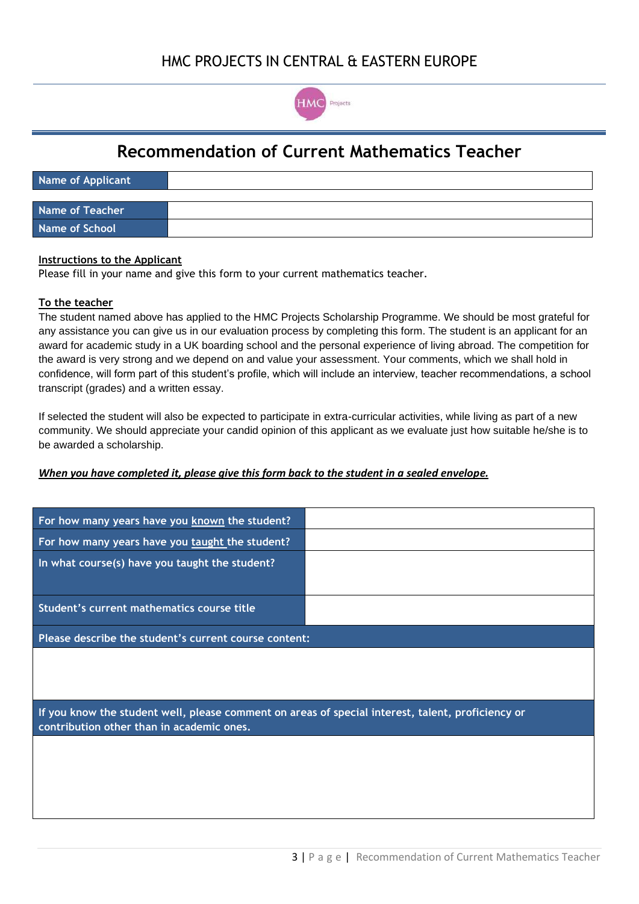

# **Recommendation of Current Mathematics Teacher**

| Name of Applicant      |  |
|------------------------|--|
|                        |  |
| <b>Name of Teacher</b> |  |
| <b>Name of School</b>  |  |

#### **Instructions to the Applicant**

Please fill in your name and give this form to your current mathematics teacher.

### **To the teacher**

The student named above has applied to the HMC Projects Scholarship Programme. We should be most grateful for any assistance you can give us in our evaluation process by completing this form. The student is an applicant for an award for academic study in a UK boarding school and the personal experience of living abroad. The competition for the award is very strong and we depend on and value your assessment. Your comments, which we shall hold in confidence, will form part of this student's profile, which will include an interview, teacher recommendations, a school transcript (grades) and a written essay.

If selected the student will also be expected to participate in extra-curricular activities, while living as part of a new community. We should appreciate your candid opinion of this applicant as we evaluate just how suitable he/she is to be awarded a scholarship.

#### *When you have completed it, please give this form back to the student in a sealed envelope.*

| For how many years have you known the student?                                                                                                 |  |  |  |  |
|------------------------------------------------------------------------------------------------------------------------------------------------|--|--|--|--|
| For how many years have you taught the student?                                                                                                |  |  |  |  |
| In what course(s) have you taught the student?                                                                                                 |  |  |  |  |
| Student's current mathematics course title                                                                                                     |  |  |  |  |
| Please describe the student's current course content:                                                                                          |  |  |  |  |
|                                                                                                                                                |  |  |  |  |
| If you know the student well, please comment on areas of special interest, talent, proficiency or<br>contribution other than in academic ones. |  |  |  |  |
|                                                                                                                                                |  |  |  |  |
|                                                                                                                                                |  |  |  |  |
|                                                                                                                                                |  |  |  |  |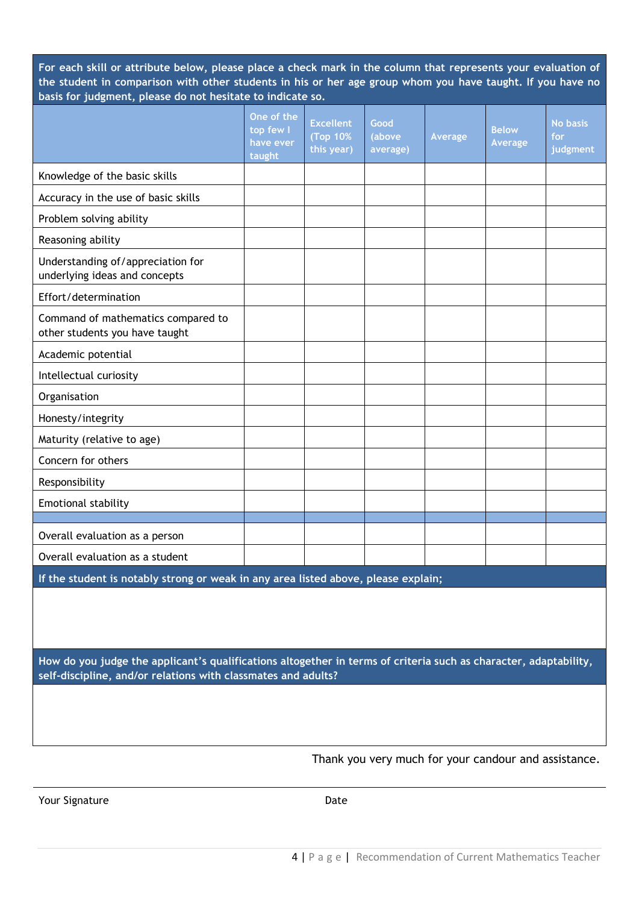**For each skill or attribute below, please place a check mark in the column that represents your evaluation of the student in comparison with other students in his or her age group whom you have taught. If you have no basis for judgment, please do not hesitate to indicate so.**

|                                                                                                                                                                                   | One of the<br>top few I<br>have ever<br>taught | <b>Excellent</b><br>(Top 10%<br>this year) | Good<br>(above<br>average) | Average | <b>Below</b><br>Average | <b>No basis</b><br>for<br>judgment |
|-----------------------------------------------------------------------------------------------------------------------------------------------------------------------------------|------------------------------------------------|--------------------------------------------|----------------------------|---------|-------------------------|------------------------------------|
| Knowledge of the basic skills                                                                                                                                                     |                                                |                                            |                            |         |                         |                                    |
| Accuracy in the use of basic skills                                                                                                                                               |                                                |                                            |                            |         |                         |                                    |
| Problem solving ability                                                                                                                                                           |                                                |                                            |                            |         |                         |                                    |
| Reasoning ability                                                                                                                                                                 |                                                |                                            |                            |         |                         |                                    |
| Understanding of/appreciation for<br>underlying ideas and concepts                                                                                                                |                                                |                                            |                            |         |                         |                                    |
| Effort/determination                                                                                                                                                              |                                                |                                            |                            |         |                         |                                    |
| Command of mathematics compared to<br>other students you have taught                                                                                                              |                                                |                                            |                            |         |                         |                                    |
| Academic potential                                                                                                                                                                |                                                |                                            |                            |         |                         |                                    |
| Intellectual curiosity                                                                                                                                                            |                                                |                                            |                            |         |                         |                                    |
| Organisation                                                                                                                                                                      |                                                |                                            |                            |         |                         |                                    |
| Honesty/integrity                                                                                                                                                                 |                                                |                                            |                            |         |                         |                                    |
| Maturity (relative to age)                                                                                                                                                        |                                                |                                            |                            |         |                         |                                    |
| Concern for others                                                                                                                                                                |                                                |                                            |                            |         |                         |                                    |
| Responsibility                                                                                                                                                                    |                                                |                                            |                            |         |                         |                                    |
| Emotional stability                                                                                                                                                               |                                                |                                            |                            |         |                         |                                    |
|                                                                                                                                                                                   |                                                |                                            |                            |         |                         |                                    |
| Overall evaluation as a person                                                                                                                                                    |                                                |                                            |                            |         |                         |                                    |
| Overall evaluation as a student                                                                                                                                                   |                                                |                                            |                            |         |                         |                                    |
| If the student is notably strong or weak in any area listed above, please explain;                                                                                                |                                                |                                            |                            |         |                         |                                    |
|                                                                                                                                                                                   |                                                |                                            |                            |         |                         |                                    |
|                                                                                                                                                                                   |                                                |                                            |                            |         |                         |                                    |
| How do you judge the applicant's qualifications altogether in terms of criteria such as character, adaptability,<br>self-discipline, and/or relations with classmates and adults? |                                                |                                            |                            |         |                         |                                    |
|                                                                                                                                                                                   |                                                |                                            |                            |         |                         |                                    |

Thank you very much for your candour and assistance.

Your Signature Date Date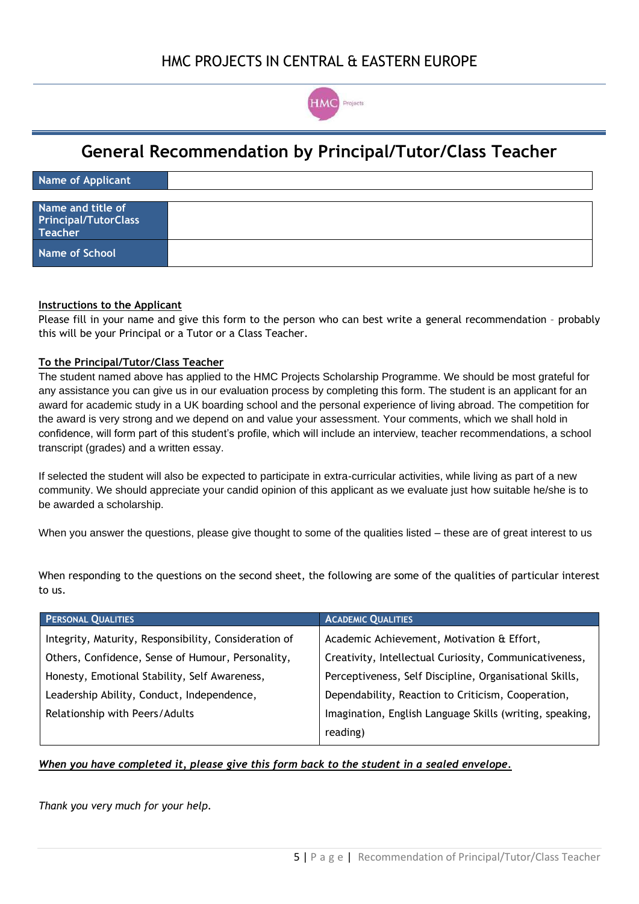

## **General Recommendation by Principal/Tutor/Class Teacher**

| Name of Applicant                                                  |  |
|--------------------------------------------------------------------|--|
|                                                                    |  |
| Name and title of<br><b>Principal/TutorClass</b><br><b>Teacher</b> |  |
| <b>Name of School</b>                                              |  |

### **Instructions to the Applicant**

Please fill in your name and give this form to the person who can best write a general recommendation – probably this will be your Principal or a Tutor or a Class Teacher.

### **To the Principal/Tutor/Class Teacher**

The student named above has applied to the HMC Projects Scholarship Programme. We should be most grateful for any assistance you can give us in our evaluation process by completing this form. The student is an applicant for an award for academic study in a UK boarding school and the personal experience of living abroad. The competition for the award is very strong and we depend on and value your assessment. Your comments, which we shall hold in confidence, will form part of this student's profile, which will include an interview, teacher recommendations, a school transcript (grades) and a written essay.

If selected the student will also be expected to participate in extra-curricular activities, while living as part of a new community. We should appreciate your candid opinion of this applicant as we evaluate just how suitable he/she is to be awarded a scholarship.

When you answer the questions, please give thought to some of the qualities listed – these are of great interest to us

When responding to the questions on the second sheet, the following are some of the qualities of particular interest to us.

| <b>PERSONAL QUALITIES</b>                             | <b>ACADEMIC QUALITIES</b>                                |
|-------------------------------------------------------|----------------------------------------------------------|
| Integrity, Maturity, Responsibility, Consideration of | Academic Achievement, Motivation & Effort,               |
| Others, Confidence, Sense of Humour, Personality,     | Creativity, Intellectual Curiosity, Communicativeness,   |
| Honesty, Emotional Stability, Self Awareness,         | Perceptiveness, Self Discipline, Organisational Skills,  |
| Leadership Ability, Conduct, Independence,            | Dependability, Reaction to Criticism, Cooperation,       |
| Relationship with Peers/Adults                        | Imagination, English Language Skills (writing, speaking, |
|                                                       | reading)                                                 |

#### *When you have completed it, please give this form back to the student in a sealed envelope.*

*Thank you very much for your help.*